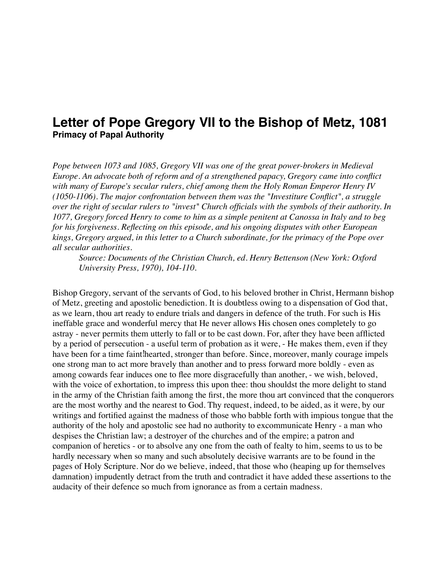## **Letter of Pope Gregory VII to the Bishop of Metz, 1081 Primacy of Papal Authority**

*Pope between 1073 and 1085, Gregory VII was one of the great power-brokers in Medieval Europe. An advocate both of reform and of a strengthened papacy, Gregory came into conflict with many of Europe's secular rulers, chief among them the Holy Roman Emperor Henry IV (1050-1106). The major confrontation between them was the "Investiture Conflict", a struggle over the right of secular rulers to "invest" Church officials with the symbols of their authority. In 1077, Gregory forced Henry to come to him as a simple penitent at Canossa in Italy and to beg for his forgiveness. Reflecting on this episode, and his ongoing disputes with other European kings, Gregory argued, in this letter to a Church subordinate, for the primacy of the Pope over all secular authorities.*

*Source: Documents of the Christian Church, ed. Henry Bettenson (New York: Oxford University Press, 1970), 104-110.*

Bishop Gregory, servant of the servants of God, to his beloved brother in Christ, Hermann bishop of Metz, greeting and apostolic benediction. It is doubtless owing to a dispensation of God that, as we learn, thou art ready to endure trials and dangers in defence of the truth. For such is His ineffable grace and wonderful mercy that He never allows His chosen ones completely to go astray - never permits them utterly to fall or to be cast down. For, after they have been afflicted by a period of persecution - a useful term of probation as it were, - He makes them, even if they have been for a time faint! hearted, stronger than before. Since, moreover, manly courage impels one strong man to act more bravely than another and to press forward more boldly - even as among cowards fear induces one to flee more disgracefully than another, - we wish, beloved, with the voice of exhortation, to impress this upon thee: thou shouldst the more delight to stand in the army of the Christian faith among the first, the more thou art convinced that the conquerors are the most worthy and the nearest to God. Thy request, indeed, to be aided, as it were, by our writings and fortified against the madness of those who babble forth with impious tongue that the authority of the holy and apostolic see had no authority to excommunicate Henry - a man who despises the Christian law; a destroyer of the churches and of the empire; a patron and companion of heretics - or to absolve any one from the oath of fealty to him, seems to us to be hardly necessary when so many and such absolutely decisive warrants are to be found in the pages of Holy Scripture. Nor do we believe, indeed, that those who (heaping up for themselves damnation) impudently detract from the truth and contradict it have added these assertions to the audacity of their defence so much from ignorance as from a certain madness.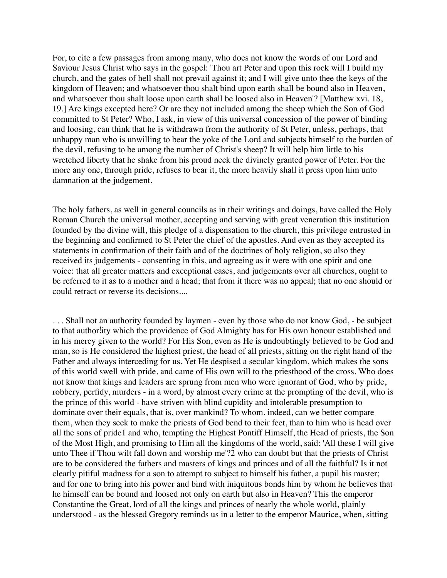For, to cite a few passages from among many, who does not know the words of our Lord and Saviour Jesus Christ who says in the gospel: 'Thou art Peter and upon this rock will I build my church, and the gates of hell shall not prevail against it; and I will give unto thee the keys of the kingdom of Heaven; and whatsoever thou shalt bind upon earth shall be bound also in Heaven, and whatsoever thou shalt loose upon earth shall be loosed also in Heaven'? [Matthew xvi. 18, 19.] Are kings excepted here? Or are they not included among the sheep which the Son of God committed to St Peter? Who, I ask, in view of this universal concession of the power of binding and loosing, can think that he is withdrawn from the authority of St Peter, unless, perhaps, that unhappy man who is unwilling to bear the yoke of the Lord and subjects himself to the burden of the devil, refusing to be among the number of Christ's sheep? It will help him little to his wretched liberty that he shake from his proud neck the divinely granted power of Peter. For the more any one, through pride, refuses to bear it, the more heavily shall it press upon him unto damnation at the judgement.

The holy fathers, as well in general councils as in their writings and doings, have called the Holy Roman Church the universal mother, accepting and serving with great veneration this institution founded by the divine will, this pledge of a dispensation to the church, this privilege entrusted in the beginning and confirmed to St Peter the chief of the apostles. And even as they accepted its statements in confirmation of their faith and of the doctrines of holy religion, so also they received its judgements - consenting in this, and agreeing as it were with one spirit and one voice: that all greater matters and exceptional cases, and judgements over all churches, ought to be referred to it as to a mother and a head; that from it there was no appeal; that no one should or could retract or reverse its decisions....

. . . Shall not an authority founded by laymen - even by those who do not know God, - be subject to that author!ity which the providence of God Almighty has for His own honour established and in his mercy given to the world? For His Son, even as He is undoubtingly believed to be God and man, so is He considered the highest priest, the head of all priests, sitting on the right hand of the Father and always interceding for us. Yet He despised a secular kingdom, which makes the sons of this world swell with pride, and came of His own will to the priesthood of the cross. Who does not know that kings and leaders are sprung from men who were ignorant of God, who by pride, robbery, perfidy, murders - in a word, by almost every crime at the prompting of the devil, who is the prince of this world - have striven with blind cupidity and intolerable presumption to dominate over their equals, that is, over mankind? To whom, indeed, can we better compare them, when they seek to make the priests of God bend to their feet, than to him who is head over all the sons of pride1 and who, tempting the Highest Pontiff Himself, the Head of priests, the Son of the Most High, and promising to Him all the kingdoms of the world, said: 'All these I will give unto Thee if Thou wilt fall down and worship me'?2 who can doubt but that the priests of Christ are to be considered the fathers and masters of kings and princes and of all the faithful? Is it not clearly pitiful madness for a son to attempt to subject to himself his father, a pupil his master; and for one to bring into his power and bind with iniquitous bonds him by whom he believes that he himself can be bound and loosed not only on earth but also in Heaven? This the emperor Constantine the Great, lord of all the kings and princes of nearly the whole world, plainly understood - as the blessed Gregory reminds us in a letter to the emperor Maurice, when, sitting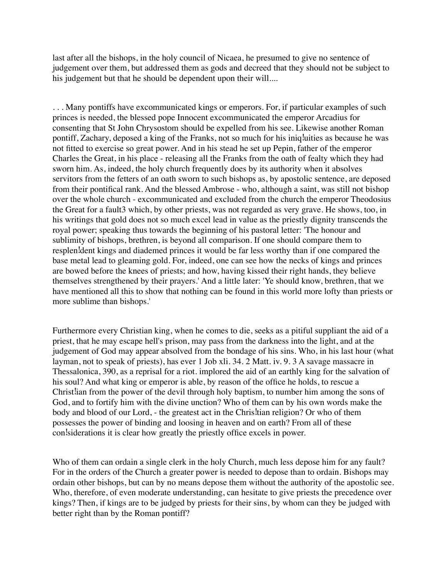last after all the bishops, in the holy council of Nicaea, he presumed to give no sentence of judgement over them, but addressed them as gods and decreed that they should not be subject to his judgement but that he should be dependent upon their will....

. . . Many pontiffs have excommunicated kings or emperors. For, if particular examples of such princes is needed, the blessed pope Innocent excommunicated the emperor Arcadius for consenting that St John Chrysostom should be expelled from his see. Likewise another Roman pontiff, Zachary, deposed a king of the Franks, not so much for his iniq!uities as because he was not fitted to exercise so great power. And in his stead he set up Pepin, father of the emperor Charles the Great, in his place - releasing all the Franks from the oath of fealty which they had sworn him. As, indeed, the holy church frequently does by its authority when it absolves servitors from the fetters of an oath sworn to such bishops as, by apostolic sentence, are deposed from their pontifical rank. And the blessed Ambrose - who, although a saint, was still not bishop over the whole church - excommunicated and excluded from the church the emperor Theodosius the Great for a fault3 which, by other priests, was not regarded as very grave. He shows, too, in his writings that gold does not so much excel lead in value as the priestly dignity transcends the royal power; speaking thus towards the beginning of his pastoral letter: 'The honour and sublimity of bishops, brethren, is beyond all comparison. If one should compare them to resplen!dent kings and diademed princes it would be far less worthy than if one compared the base metal lead to gleaming gold. For, indeed, one can see how the necks of kings and princes are bowed before the knees of priests; and how, having kissed their right hands, they believe themselves strengthened by their prayers.' And a little later: 'Ye should know, brethren, that we have mentioned all this to show that nothing can be found in this world more lofty than priests or more sublime than bishops.'

Furthermore every Christian king, when he comes to die, seeks as a pitiful suppliant the aid of a priest, that he may escape hell's prison, may pass from the darkness into the light, and at the judgement of God may appear absolved from the bondage of his sins. Who, in his last hour (what layman, not to speak of priests), has ever 1 Job xli. 34. 2 Matt. iv. 9. 3 A savage massacre in Thessalonica, 390, as a reprisal for a riot. implored the aid of an earthly king for the salvation of his soul? And what king or emperor is able, by reason of the office he holds, to rescue a Christ!ian from the power of the devil through holy baptism, to number him among the sons of God, and to fortify him with the divine unction? Who of them can by his own words make the body and blood of our Lord, - the greatest act in the Chris! tian religion? Or who of them possesses the power of binding and loosing in heaven and on earth? From all of these con!siderations it is clear how greatly the priestly office excels in power.

Who of them can ordain a single clerk in the holy Church, much less depose him for any fault? For in the orders of the Church a greater power is needed to depose than to ordain. Bishops may ordain other bishops, but can by no means depose them without the authority of the apostolic see. Who, therefore, of even moderate understanding, can hesitate to give priests the precedence over kings? Then, if kings are to be judged by priests for their sins, by whom can they be judged with better right than by the Roman pontiff?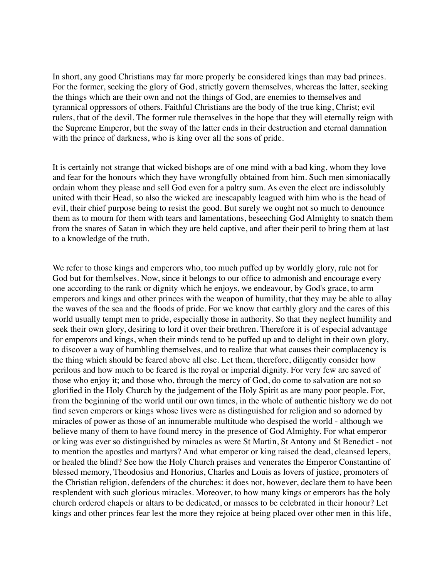In short, any good Christians may far more properly be considered kings than may bad princes. For the former, seeking the glory of God, strictly govern themselves, whereas the latter, seeking the things which are their own and not the things of God, are enemies to themselves and tyrannical oppressors of others. Faithful Christians are the body of the true king, Christ; evil rulers, that of the devil. The former rule themselves in the hope that they will eternally reign with the Supreme Emperor, but the sway of the latter ends in their destruction and eternal damnation with the prince of darkness, who is king over all the sons of pride.

It is certainly not strange that wicked bishops are of one mind with a bad king, whom they love and fear for the honours which they have wrongfully obtained from him. Such men simoniacally ordain whom they please and sell God even for a paltry sum. As even the elect are indissolubly united with their Head, so also the wicked are inescapably leagued with him who is the head of evil, their chief purpose being to resist the good. But surely we ought not so much to denounce them as to mourn for them with tears and lamentations, beseeching God Almighty to snatch them from the snares of Satan in which they are held captive, and after their peril to bring them at last to a knowledge of the truth.

We refer to those kings and emperors who, too much puffed up by worldly glory, rule not for God but for them!selves. Now, since it belongs to our office to admonish and encourage every one according to the rank or dignity which he enjoys, we endeavour, by God's grace, to arm emperors and kings and other princes with the weapon of humility, that they may be able to allay the waves of the sea and the floods of pride. For we know that earthly glory and the cares of this world usually tempt men to pride, especially those in authority. So that they neglect humility and seek their own glory, desiring to lord it over their brethren. Therefore it is of especial advantage for emperors and kings, when their minds tend to be puffed up and to delight in their own glory, to discover a way of humbling themselves, and to realize that what causes their complacency is the thing which should be feared above all else. Let them, therefore, diligently consider how perilous and how much to be feared is the royal or imperial dignity. For very few are saved of those who enjoy it; and those who, through the mercy of God, do come to salvation are not so glorified in the Holy Church by the judgement of the Holy Spirit as are many poor people. For, from the beginning of the world until our own times, in the whole of authentic his!tory we do not find seven emperors or kings whose lives were as distinguished for religion and so adorned by miracles of power as those of an innumerable multitude who despised the world - although we believe many of them to have found mercy in the presence of God Almighty. For what emperor or king was ever so distinguished by miracles as were St Martin, St Antony and St Benedict - not to mention the apostles and martyrs? And what emperor or king raised the dead, cleansed lepers, or healed the blind? See how the Holy Church praises and venerates the Emperor Constantine of blessed memory, Theodosius and Honorius, Charles and Louis as lovers of justice, promoters of the Christian religion, defenders of the churches: it does not, however, declare them to have been resplendent with such glorious miracles. Moreover, to how many kings or emperors has the holy church ordered chapels or altars to be dedicated, or masses to be celebrated in their honour? Let kings and other princes fear lest the more they rejoice at being placed over other men in this life,